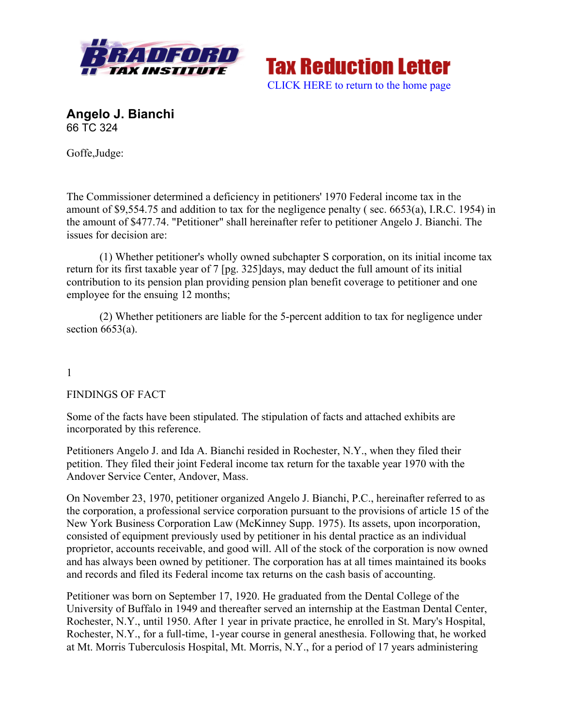



**Angelo J. Bianchi**  66 TC 324

Goffe,Judge:

The Commissioner determined a deficiency in petitioners' 1970 Federal income tax in the amount of \$9,554.75 and addition to tax for the negligence penalty ( sec. 6653(a), I.R.C. 1954) in the amount of \$477.74. "Petitioner" shall hereinafter refer to petitioner Angelo J. Bianchi. The issues for decision are:

(1) Whether petitioner's wholly owned subchapter S corporation, on its initial income tax return for its first taxable year of 7 [pg. 325]days, may deduct the full amount of its initial contribution to its pension plan providing pension plan benefit coverage to petitioner and one employee for the ensuing 12 months;

(2) Whether petitioners are liable for the 5-percent addition to tax for negligence under section  $6653(a)$ .

## 1

## FINDINGS OF FACT

Some of the facts have been stipulated. The stipulation of facts and attached exhibits are incorporated by this reference.

Petitioners Angelo J. and Ida A. Bianchi resided in Rochester, N.Y., when they filed their petition. They filed their joint Federal income tax return for the taxable year 1970 with the Andover Service Center, Andover, Mass.

On November 23, 1970, petitioner organized Angelo J. Bianchi, P.C., hereinafter referred to as the corporation, a professional service corporation pursuant to the provisions of article 15 of the New York Business Corporation Law (McKinney Supp. 1975). Its assets, upon incorporation, consisted of equipment previously used by petitioner in his dental practice as an individual proprietor, accounts receivable, and good will. All of the stock of the corporation is now owned and has always been owned by petitioner. The corporation has at all times maintained its books and records and filed its Federal income tax returns on the cash basis of accounting.

Petitioner was born on September 17, 1920. He graduated from the Dental College of the University of Buffalo in 1949 and thereafter served an internship at the Eastman Dental Center, Rochester, N.Y., until 1950. After 1 year in private practice, he enrolled in St. Mary's Hospital, Rochester, N.Y., for a full-time, 1-year course in general anesthesia. Following that, he worked at Mt. Morris Tuberculosis Hospital, Mt. Morris, N.Y., for a period of 17 years administering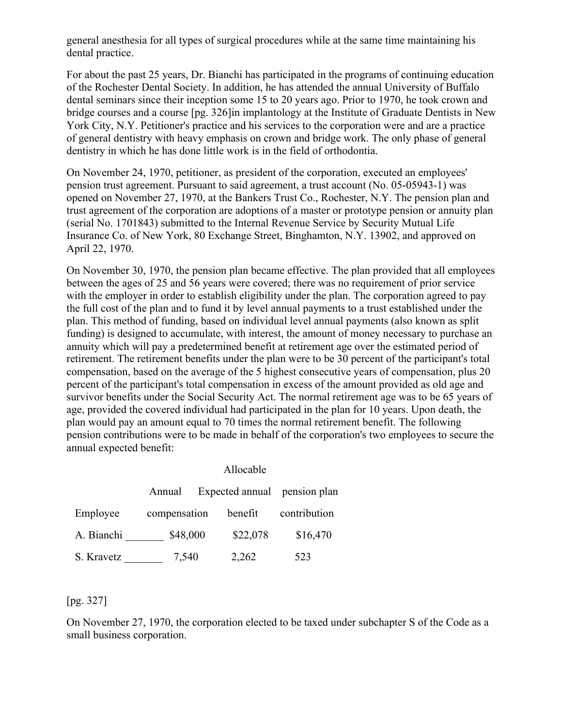general anesthesia for all types of surgical procedures while at the same time maintaining his dental practice.

For about the past 25 years, Dr. Bianchi has participated in the programs of continuing education of the Rochester Dental Society. In addition, he has attended the annual University of Buffalo dental seminars since their inception some 15 to 20 years ago. Prior to 1970, he took crown and bridge courses and a course [pg. 326]in implantology at the Institute of Graduate Dentists in New York City, N.Y. Petitioner's practice and his services to the corporation were and are a practice of general dentistry with heavy emphasis on crown and bridge work. The only phase of general dentistry in which he has done little work is in the field of orthodontia.

On November 24, 1970, petitioner, as president of the corporation, executed an employees' pension trust agreement. Pursuant to said agreement, a trust account (No. 05-05943-1) was opened on November 27, 1970, at the Bankers Trust Co., Rochester, N.Y. The pension plan and trust agreement of the corporation are adoptions of a master or prototype pension or annuity plan (serial No. 1701843) submitted to the Internal Revenue Service by Security Mutual Life Insurance Co. of New York, 80 Exchange Street, Binghamton, N.Y. 13902, and approved on April 22, 1970.

On November 30, 1970, the pension plan became effective. The plan provided that all employees between the ages of 25 and 56 years were covered; there was no requirement of prior service with the employer in order to establish eligibility under the plan. The corporation agreed to pay the full cost of the plan and to fund it by level annual payments to a trust established under the plan. This method of funding, based on individual level annual payments (also known as split funding) is designed to accumulate, with interest, the amount of money necessary to purchase an annuity which will pay a predetermined benefit at retirement age over the estimated period of retirement. The retirement benefits under the plan were to be 30 percent of the participant's total compensation, based on the average of the 5 highest consecutive years of compensation, plus 20 percent of the participant's total compensation in excess of the amount provided as old age and survivor benefits under the Social Security Act. The normal retirement age was to be 65 years of age, provided the covered individual had participated in the plan for 10 years. Upon death, the plan would pay an amount equal to 70 times the normal retirement benefit. The following pension contributions were to be made in behalf of the corporation's two employees to secure the annual expected benefit:

|            | Allocable    |                 |              |
|------------|--------------|-----------------|--------------|
|            | Annual       | Expected annual | pension plan |
| Employee   | compensation | benefit         | contribution |
| A. Bianchi | \$48,000     | \$22,078        | \$16,470     |
| S. Kravetz | 7,540        | 2,262           | 523          |

#### [pg. 327]

On November 27, 1970, the corporation elected to be taxed under subchapter S of the Code as a small business corporation.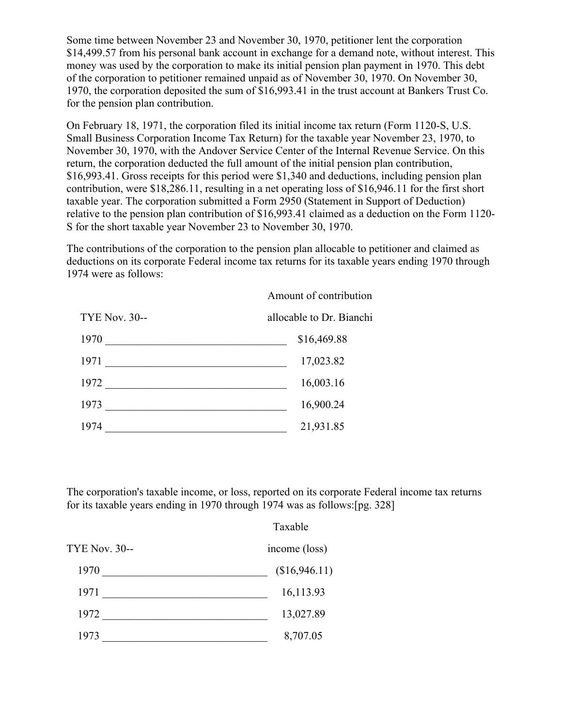Some time between November 23 and November 30, 1970, petitioner lent the corporation \$14,499.57 from his personal bank account in exchange for a demand note, without interest. This money was used by the corporation to make its initial pension plan payment in 1970. This debt of the corporation to petitioner remained unpaid as of November 30, 1970. On November 30, 1970, the corporation deposited the sum of \$16,993.41 in the trust account at Bankers Trust Co. for the pension plan contribution.

On February 18, 1971, the corporation filed its initial income tax return (Form 1120-S, U.S. Small Business Corporation Income Tax Return) for the taxable year November 23, 1970, to November 30, 1970, with the Andover Service Center of the Internal Revenue Service. On this return, the corporation deducted the full amount of the initial pension plan contribution, \$16,993.41. Gross receipts for this period were \$1,340 and deductions, including pension plan contribution, were \$18,286.11, resulting in a net operating loss of \$16,946.11 for the first short taxable year. The corporation submitted a Form 2950 (Statement in Support of Deduction) relative to the pension plan contribution of \$16,993.41 claimed as a deduction on the Form 1120- S for the short taxable year November 23 to November 30, 1970.

The contributions of the corporation to the pension plan allocable to petitioner and claimed as deductions on its corporate Federal income tax returns for its taxable years ending 1970 through 1974 were as follows:

|                      | Amount of contribution   |  |
|----------------------|--------------------------|--|
| <b>TYE Nov. 30--</b> | allocable to Dr. Bianchi |  |
| 1970                 | \$16,469.88              |  |
| 1971                 | 17,023.82                |  |
| 1972                 | 16,003.16                |  |
| 1973                 | 16,900.24                |  |
| 1974                 | 21,931.85                |  |

The corporation's taxable income, or loss, reported on its corporate Federal income tax returns for its taxable years ending in 1970 through 1974 was as follows:[pg. 328]

|                      | Taxable       |  |
|----------------------|---------------|--|
| <b>TYE Nov. 30--</b> | income (loss) |  |
| 1970                 | (\$16,946.11) |  |
| 1971                 | 16,113.93     |  |
| 1972                 | 13,027.89     |  |
| 1973                 | 8,707.05      |  |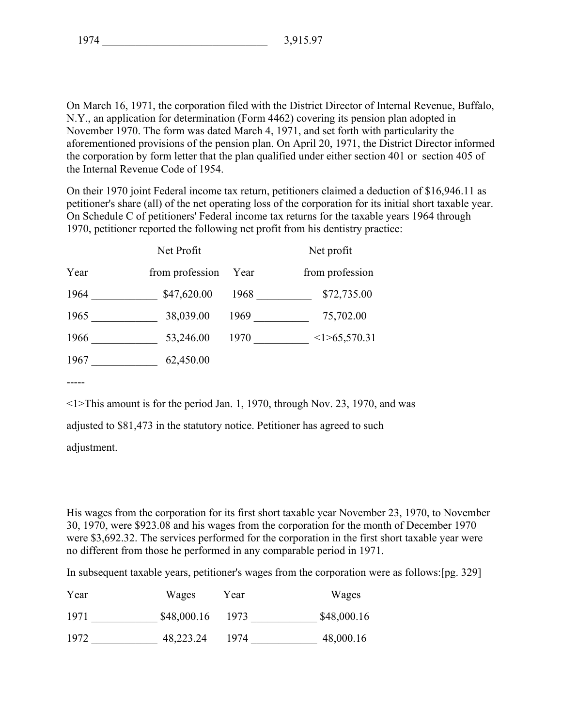On March 16, 1971, the corporation filed with the District Director of Internal Revenue, Buffalo, N.Y., an application for determination (Form 4462) covering its pension plan adopted in November 1970. The form was dated March 4, 1971, and set forth with particularity the aforementioned provisions of the pension plan. On April 20, 1971, the District Director informed the corporation by form letter that the plan qualified under either section 401 or section 405 of the Internal Revenue Code of 1954.

On their 1970 joint Federal income tax return, petitioners claimed a deduction of \$16,946.11 as petitioner's share (all) of the net operating loss of the corporation for its initial short taxable year. On Schedule C of petitioners' Federal income tax returns for the taxable years 1964 through 1970, petitioner reported the following net profit from his dentistry practice:

|      | Net Profit      |      | Net profit      |
|------|-----------------|------|-----------------|
| Year | from profession | Year | from profession |
| 1964 | \$47,620.00     | 1968 | \$72,735.00     |
| 1965 | 38,039.00       | 1969 | 75,702.00       |
| 1966 | 53,246.00       | 1970 | <1>65,570.31    |
| 1967 | 62,450.00       |      |                 |

-----

<1>This amount is for the period Jan. 1, 1970, through Nov. 23, 1970, and was

adjusted to \$81,473 in the statutory notice. Petitioner has agreed to such

adjustment.

His wages from the corporation for its first short taxable year November 23, 1970, to November 30, 1970, were \$923.08 and his wages from the corporation for the month of December 1970 were \$3,692.32. The services performed for the corporation in the first short taxable year were no different from those he performed in any comparable period in 1971.

In subsequent taxable years, petitioner's wages from the corporation were as follows:[pg. 329]

| Year | Wages       | Year | Wages       |
|------|-------------|------|-------------|
| 1971 | \$48,000.16 | 1973 | \$48,000.16 |
| 1972 | 48,223.24   | 1974 | 48,000.16   |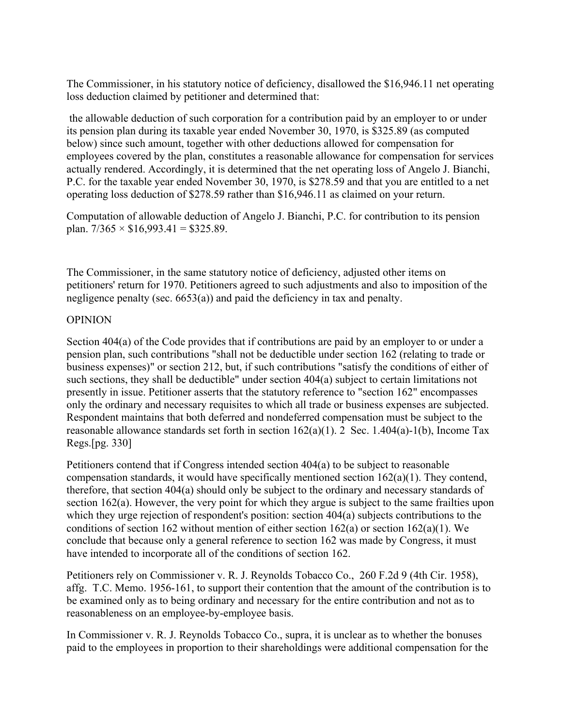The Commissioner, in his statutory notice of deficiency, disallowed the \$16,946.11 net operating loss deduction claimed by petitioner and determined that:

the allowable deduction of such corporation for a contribution paid by an employer to or under its pension plan during its taxable year ended November 30, 1970, is \$325.89 (as computed below) since such amount, together with other deductions allowed for compensation for employees covered by the plan, constitutes a reasonable allowance for compensation for services actually rendered. Accordingly, it is determined that the net operating loss of Angelo J. Bianchi, P.C. for the taxable year ended November 30, 1970, is \$278.59 and that you are entitled to a net operating loss deduction of \$278.59 rather than \$16,946.11 as claimed on your return.

Computation of allowable deduction of Angelo J. Bianchi, P.C. for contribution to its pension plan.  $7/365 \times $16,993.41 = $325.89$ .

The Commissioner, in the same statutory notice of deficiency, adjusted other items on petitioners' return for 1970. Petitioners agreed to such adjustments and also to imposition of the negligence penalty (sec. 6653(a)) and paid the deficiency in tax and penalty.

### OPINION

Section 404(a) of the Code provides that if contributions are paid by an employer to or under a pension plan, such contributions "shall not be deductible under section 162 (relating to trade or business expenses)" or section 212, but, if such contributions "satisfy the conditions of either of such sections, they shall be deductible" under section 404(a) subject to certain limitations not presently in issue. Petitioner asserts that the statutory reference to "section 162" encompasses only the ordinary and necessary requisites to which all trade or business expenses are subjected. Respondent maintains that both deferred and nondeferred compensation must be subject to the reasonable allowance standards set forth in section 162(a)(1). 2 Sec. 1.404(a)-1(b), Income Tax Regs.[pg. 330]

Petitioners contend that if Congress intended section 404(a) to be subject to reasonable compensation standards, it would have specifically mentioned section 162(a)(1). They contend, therefore, that section 404(a) should only be subject to the ordinary and necessary standards of section 162(a). However, the very point for which they argue is subject to the same frailties upon which they urge rejection of respondent's position: section 404(a) subjects contributions to the conditions of section 162 without mention of either section 162(a) or section 162(a)(1). We conclude that because only a general reference to section 162 was made by Congress, it must have intended to incorporate all of the conditions of section 162.

Petitioners rely on Commissioner v. R. J. Reynolds Tobacco Co., 260 F.2d 9 (4th Cir. 1958), affg. T.C. Memo. 1956-161, to support their contention that the amount of the contribution is to be examined only as to being ordinary and necessary for the entire contribution and not as to reasonableness on an employee-by-employee basis.

In Commissioner v. R. J. Reynolds Tobacco Co., supra, it is unclear as to whether the bonuses paid to the employees in proportion to their shareholdings were additional compensation for the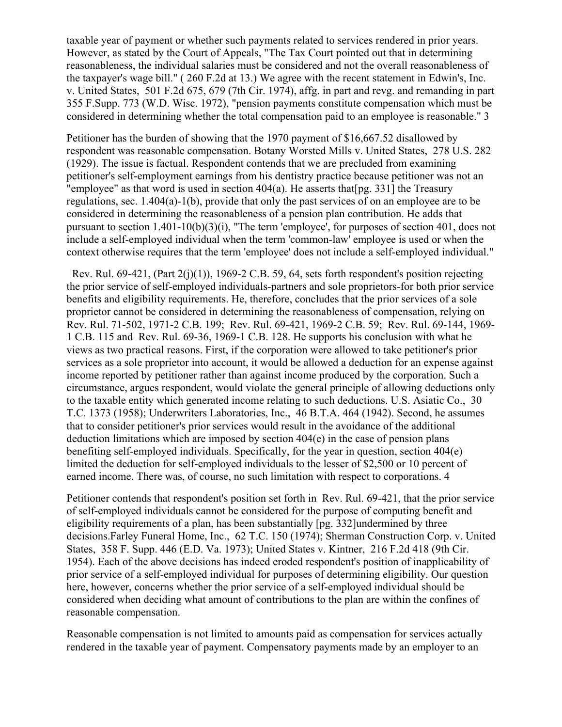taxable year of payment or whether such payments related to services rendered in prior years. However, as stated by the Court of Appeals, "The Tax Court pointed out that in determining reasonableness, the individual salaries must be considered and not the overall reasonableness of the taxpayer's wage bill." ( 260 F.2d at 13.) We agree with the recent statement in Edwin's, Inc. v. United States, 501 F.2d 675, 679 (7th Cir. 1974), affg. in part and revg. and remanding in part 355 F.Supp. 773 (W.D. Wisc. 1972), "pension payments constitute compensation which must be considered in determining whether the total compensation paid to an employee is reasonable." 3

Petitioner has the burden of showing that the 1970 payment of \$16,667.52 disallowed by respondent was reasonable compensation. Botany Worsted Mills v. United States, 278 U.S. 282 (1929). The issue is factual. Respondent contends that we are precluded from examining petitioner's self-employment earnings from his dentistry practice because petitioner was not an "employee" as that word is used in section  $404(a)$ . He asserts that [pg. 331] the Treasury regulations, sec. 1.404(a)-1(b), provide that only the past services of on an employee are to be considered in determining the reasonableness of a pension plan contribution. He adds that pursuant to section 1.401-10(b)(3)(i), "The term 'employee', for purposes of section 401, does not include a self-employed individual when the term 'common-law' employee is used or when the context otherwise requires that the term 'employee' does not include a self-employed individual."

Rev. Rul. 69-421, (Part  $2(j)(1)$ ), 1969-2 C.B. 59, 64, sets forth respondent's position rejecting the prior service of self-employed individuals-partners and sole proprietors-for both prior service benefits and eligibility requirements. He, therefore, concludes that the prior services of a sole proprietor cannot be considered in determining the reasonableness of compensation, relying on Rev. Rul. 71-502, 1971-2 C.B. 199; Rev. Rul. 69-421, 1969-2 C.B. 59; Rev. Rul. 69-144, 1969- 1 C.B. 115 and Rev. Rul. 69-36, 1969-1 C.B. 128. He supports his conclusion with what he views as two practical reasons. First, if the corporation were allowed to take petitioner's prior services as a sole proprietor into account, it would be allowed a deduction for an expense against income reported by petitioner rather than against income produced by the corporation. Such a circumstance, argues respondent, would violate the general principle of allowing deductions only to the taxable entity which generated income relating to such deductions. U.S. Asiatic Co., 30 T.C. 1373 (1958); Underwriters Laboratories, Inc., 46 B.T.A. 464 (1942). Second, he assumes that to consider petitioner's prior services would result in the avoidance of the additional deduction limitations which are imposed by section  $404(e)$  in the case of pension plans benefiting self-employed individuals. Specifically, for the year in question, section 404(e) limited the deduction for self-employed individuals to the lesser of \$2,500 or 10 percent of earned income. There was, of course, no such limitation with respect to corporations. 4

Petitioner contends that respondent's position set forth in Rev. Rul. 69-421, that the prior service of self-employed individuals cannot be considered for the purpose of computing benefit and eligibility requirements of a plan, has been substantially [pg. 332]undermined by three decisions.Farley Funeral Home, Inc., 62 T.C. 150 (1974); Sherman Construction Corp. v. United States, 358 F. Supp. 446 (E.D. Va. 1973); United States v. Kintner, 216 F.2d 418 (9th Cir. 1954). Each of the above decisions has indeed eroded respondent's position of inapplicability of prior service of a self-employed individual for purposes of determining eligibility. Our question here, however, concerns whether the prior service of a self-employed individual should be considered when deciding what amount of contributions to the plan are within the confines of reasonable compensation.

Reasonable compensation is not limited to amounts paid as compensation for services actually rendered in the taxable year of payment. Compensatory payments made by an employer to an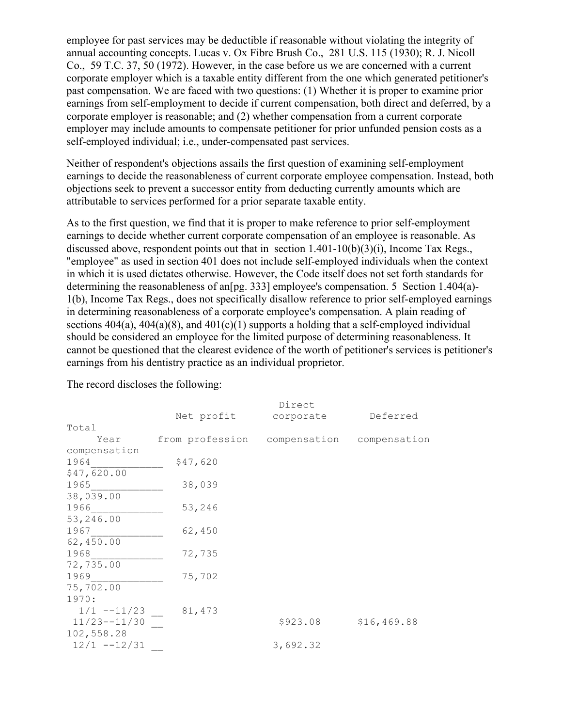employee for past services may be deductible if reasonable without violating the integrity of annual accounting concepts. Lucas v. Ox Fibre Brush Co., 281 U.S. 115 (1930); R. J. Nicoll Co., 59 T.C. 37, 50 (1972). However, in the case before us we are concerned with a current corporate employer which is a taxable entity different from the one which generated petitioner's past compensation. We are faced with two questions: (1) Whether it is proper to examine prior earnings from self-employment to decide if current compensation, both direct and deferred, by a corporate employer is reasonable; and (2) whether compensation from a current corporate employer may include amounts to compensate petitioner for prior unfunded pension costs as a self-employed individual; i.e., under-compensated past services.

Neither of respondent's objections assails the first question of examining self-employment earnings to decide the reasonableness of current corporate employee compensation. Instead, both objections seek to prevent a successor entity from deducting currently amounts which are attributable to services performed for a prior separate taxable entity.

As to the first question, we find that it is proper to make reference to prior self-employment earnings to decide whether current corporate compensation of an employee is reasonable. As discussed above, respondent points out that in section 1.401-10(b)(3)(i), Income Tax Regs., "employee" as used in section 401 does not include self-employed individuals when the context in which it is used dictates otherwise. However, the Code itself does not set forth standards for determining the reasonableness of an[pg. 333] employee's compensation. 5 Section 1.404(a)- 1(b), Income Tax Regs., does not specifically disallow reference to prior self-employed earnings in determining reasonableness of a corporate employee's compensation. A plain reading of sections  $404(a)$ ,  $404(a)(8)$ , and  $401(c)(1)$  supports a holding that a self-employed individual should be considered an employee for the limited purpose of determining reasonableness. It cannot be questioned that the clearest evidence of the worth of petitioner's services is petitioner's earnings from his dentistry practice as an individual proprietor.

|                  |                                           | Direct    |             |
|------------------|-------------------------------------------|-----------|-------------|
|                  | Net profit                                | corporate | Deferred    |
| Total            |                                           |           |             |
| Year             | from profession compensation compensation |           |             |
| compensation     |                                           |           |             |
| 1964             | \$47,620                                  |           |             |
| \$47,620.00      |                                           |           |             |
| 1965             | 38,039                                    |           |             |
| 38,039.00        |                                           |           |             |
| 1966             | 53,246                                    |           |             |
| 53,246.00        |                                           |           |             |
| 1967             | 62,450                                    |           |             |
| 62,450.00        |                                           |           |             |
| 1968             | 72,735                                    |           |             |
| 72,735.00        |                                           |           |             |
| 1969             | 75,702                                    |           |             |
| 75,702.00        |                                           |           |             |
| 1970:            |                                           |           |             |
| $1/1$ --11/23    | 81,473                                    |           |             |
| $11/23 - -11/30$ |                                           | \$923.08  | \$16,469.88 |
| 102,558.28       |                                           |           |             |
| $12/1$ --12/31   |                                           | 3,692.32  |             |

The record discloses the following: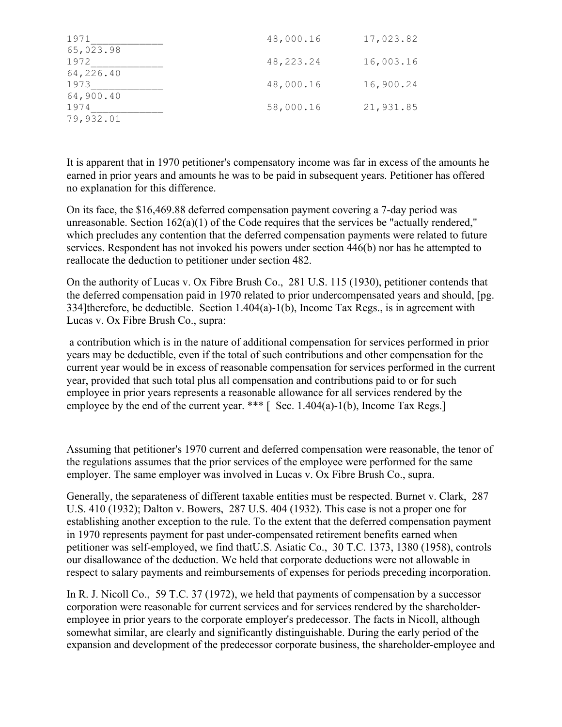| 1971      | 48,000.16 | 17,023.82 |
|-----------|-----------|-----------|
| 65,023.98 |           |           |
| 1972      | 48,223.24 | 16,003.16 |
| 64,226.40 |           |           |
| 1973      | 48,000.16 | 16,900.24 |
| 64,900.40 |           |           |
| 1974      | 58,000.16 | 21,931.85 |
| 79,932.01 |           |           |

It is apparent that in 1970 petitioner's compensatory income was far in excess of the amounts he earned in prior years and amounts he was to be paid in subsequent years. Petitioner has offered no explanation for this difference.

On its face, the \$16,469.88 deferred compensation payment covering a 7-day period was unreasonable. Section 162(a)(1) of the Code requires that the services be "actually rendered," which precludes any contention that the deferred compensation payments were related to future services. Respondent has not invoked his powers under section 446(b) nor has he attempted to reallocate the deduction to petitioner under section 482.

On the authority of Lucas v. Ox Fibre Brush Co., 281 U.S. 115 (1930), petitioner contends that the deferred compensation paid in 1970 related to prior undercompensated years and should, [pg. 334]therefore, be deductible. Section 1.404(a)-1(b), Income Tax Regs., is in agreement with Lucas v. Ox Fibre Brush Co., supra:

a contribution which is in the nature of additional compensation for services performed in prior years may be deductible, even if the total of such contributions and other compensation for the current year would be in excess of reasonable compensation for services performed in the current year, provided that such total plus all compensation and contributions paid to or for such employee in prior years represents a reasonable allowance for all services rendered by the employee by the end of the current year. \*\*\*  $\lceil$  Sec. 1.404(a)-1(b), Income Tax Regs.

Assuming that petitioner's 1970 current and deferred compensation were reasonable, the tenor of the regulations assumes that the prior services of the employee were performed for the same employer. The same employer was involved in Lucas v. Ox Fibre Brush Co., supra.

Generally, the separateness of different taxable entities must be respected. Burnet v. Clark, 287 U.S. 410 (1932); Dalton v. Bowers, 287 U.S. 404 (1932). This case is not a proper one for establishing another exception to the rule. To the extent that the deferred compensation payment in 1970 represents payment for past under-compensated retirement benefits earned when petitioner was self-employed, we find thatU.S. Asiatic Co., 30 T.C. 1373, 1380 (1958), controls our disallowance of the deduction. We held that corporate deductions were not allowable in respect to salary payments and reimbursements of expenses for periods preceding incorporation.

In R. J. Nicoll Co., 59 T.C. 37 (1972), we held that payments of compensation by a successor corporation were reasonable for current services and for services rendered by the shareholderemployee in prior years to the corporate employer's predecessor. The facts in Nicoll, although somewhat similar, are clearly and significantly distinguishable. During the early period of the expansion and development of the predecessor corporate business, the shareholder-employee and